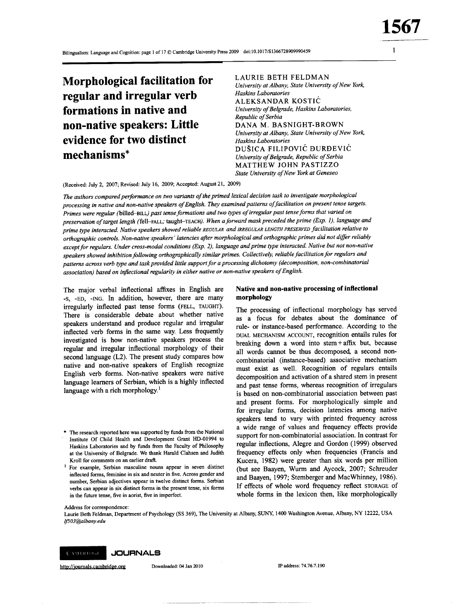$\mathbf{1}$ 

**Morphological facilitation for** regular and irregular verb formations in native and non-native speakers: Little evidence for two distinct mechanisms\*

**LAURIE BETH FELDMAN** University at Albany, State University of New York, Haskins Laboratories ALEKSANDAR KOSTIĆ University of Belgrade, Haskins Laboratories, Republic of Serbia DANA M. BASNIGHT-BROWN University at Albany, State University of New York, Haskins Laboratories DUŠICA FILIPOVIĆ DURĐEVIĆ University of Belgrade, Republic of Serbia MATTHEW JOHN PASTIZZO State University of New York at Geneseo

(Received: July 2, 2007; Revised: July 16, 2009; Accepted: August 21, 2009)

The authors compared performance on two variants of the primed lexical decision task to investigate morphological processing in native and non-native speakers of English. They examined patterns of facilitation on present tense targets. Primes were regular (billed-BILL) past tense formations and two types of irregular past tense forms that varied on preservation of target length (fell-FALL; taught-TEACH). When a forward mask preceded the prime (Exp. 1), language and prime type interacted. Native speakers showed reliable REGULAR and IRREGULAR LENGTH PRESERVED facilitation relative to orthographic controls. Non-native speakers' latencies after morphological and orthographic primes did not differ reliably except for regulars. Under cross-modal conditions (Exp. 2), language and prime type interacted. Native but not non-native speakers showed inhibition following orthographically similar primes. Collectively, reliable facilitation for regulars and patterns across verb type and task provided little support for a processing dichotomy (decomposition, non-combinatorial association) based on inflectional regularity in either native or non-native speakers of English.

The major verbal inflectional affixes in English are -S, -ED, -ING. In addition, however, there are many irregularly inflected past tense forms (FELL, TAUGHT). There is considerable debate about whether native speakers understand and produce regular and irregular inflected verb forms in the same way. Less frequently investigated is how non-native speakers process the regular and irregular inflectional morphology of their second language (L2). The present study compares how native and non-native speakers of English recognize English verb forms. Non-native speakers were native language learners of Serbian, which is a highly inflected language with a rich morphology.<sup>1</sup>

- The research reported here was supported by funds from the National Institute Of Child Health and Development Grant HD-01994 to Haskins Laboratories and by funds from the Faculty of Philosophy at the University of Belgrade. We thank Harald Clahsen and Judith Kroll for comments on an earlier draft.
- <sup>1</sup> For example, Serbian masculine nouns appear in seven distinct inflected forms, feminine in six and neuter in five. Across gender and number, Serbian adjectives appear in twelve distinct forms. Serbian verbs can appear in six distinct forms in the present tense, six forms in the future tense, five in aorist, five in imperfect.

### Native and non-native processing of inflectional morphology

The processing of inflectional morphology has served as a focus for debates about the dominance of rule- or instance-based performance. According to the DUAL MECHANISM ACCOUNT, recognition entails rules for breaking down a word into stem +  $affix$  but, because all words cannot be thus decomposed, a second noncombinatorial (instance-based) associative mechanism must exist as well. Recognition of regulars entails decomposition and activation of a shared stem in present and past tense forms, whereas recognition of irregulars is based on non-combinatorial association between past and present forms. For morphologically simple and for irregular forms, decision latencies among native speakers tend to vary with printed frequency across a wide range of values and frequency effects provide support for non-combinatorial association. In contrast for regular inflections, Alegre and Gordon (1999) observed frequency effects only when frequencies (Francis and Kucera, 1982) were greater than six words per million (but see Baayen, Wurm and Aycock, 2007; Schreuder and Baayen, 1997; Stemberger and MacWhinney, 1986). If effects of whole word frequency reflect STORAGE of whole forms in the lexicon then, like morphologically

Address for correspondence:

Laurie Beth Feldman, Department of Psychology (SS 369), The University at Albany, SUNY, 1400 Washington Avenue, Albany, NY 12222, USA lf503@albany.edu



http://journals.cambridge.org

Downloaded: 04 Jan 2010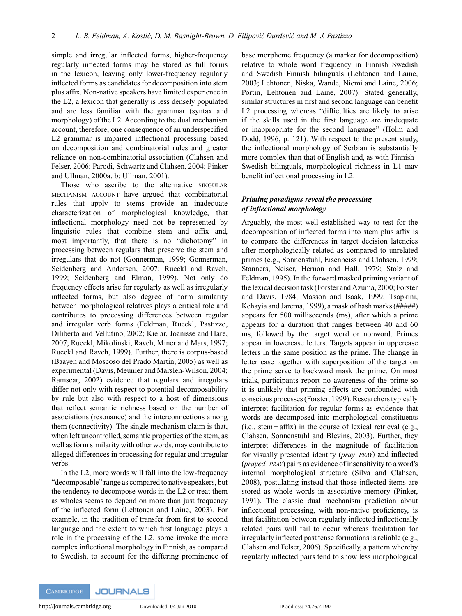simple and irregular inflected forms, higher-frequency regularly inflected forms may be stored as full forms in the lexicon, leaving only lower-frequency regularly inflected forms as candidates for decomposition into stem plus affix. Non-native speakers have limited experience in the L2, a lexicon that generally is less densely populated and are less familiar with the grammar (syntax and morphology) of the L2. According to the dual mechanism account, therefore, one consequence of an underspecified L2 grammar is impaired inflectional processing based on decomposition and combinatorial rules and greater reliance on non-combinatorial association (Clahsen and Felser, 2006; Parodi, Schwartz and Clahsen, 2004; Pinker and Ullman, 2000a, b; Ullman, 2001).

Those who ascribe to the alternative SINGULAR MECHANISM ACCOUNT have argued that combinatorial rules that apply to stems provide an inadequate characterization of morphological knowledge, that inflectional morphology need not be represented by linguistic rules that combine stem and affix and, most importantly, that there is no "dichotomy" in processing between regulars that preserve the stem and irregulars that do not (Gonnerman, 1999; Gonnerman, Seidenberg and Andersen, 2007; Rueckl and Raveh, 1999; Seidenberg and Elman, 1999). Not only do frequency effects arise for regularly as well as irregularly inflected forms, but also degree of form similarity between morphological relatives plays a critical role and contributes to processing differences between regular and irregular verb forms (Feldman, Rueckl, Pastizzo, Diliberto and Vellutino, 2002; Kielar, Joanisse and Hare, 2007; Rueckl, Mikolinski, Raveh, Miner and Mars, 1997; Rueckl and Raveh, 1999). Further, there is corpus-based (Baayen and Moscoso del Prado Martín, 2005) as well as experimental (Davis, Meunier and Marslen-Wilson, 2004; Ramscar, 2002) evidence that regulars and irregulars differ not only with respect to potential decomposability by rule but also with respect to a host of dimensions that reflect semantic richness based on the number of associations (resonance) and the interconnections among them (connectivity). The single mechanism claim is that, when left uncontrolled, semantic properties of the stem, as well as form similarity with other words, may contribute to alleged differences in processing for regular and irregular verbs.

In the L2, more words will fall into the low-frequency "decomposable" range as compared to native speakers, but the tendency to decompose words in the L2 or treat them as wholes seems to depend on more than just frequency of the inflected form (Lehtonen and Laine, 2003). For example, in the tradition of transfer from first to second language and the extent to which first language plays a role in the processing of the L2, some invoke the more complex inflectional morphology in Finnish, as compared to Swedish, to account for the differing prominence of base morpheme frequency (a marker for decomposition) relative to whole word frequency in Finnish–Swedish and Swedish–Finnish bilinguals (Lehtonen and Laine, 2003; Lehtonen, Niska, Wande, Niemi and Laine, 2006; Portin, Lehtonen and Laine, 2007). Stated generally, similar structures in first and second language can benefit L2 processing whereas "difficulties are likely to arise if the skills used in the first language are inadequate or inappropriate for the second language" (Holm and Dodd, 1996, p. 121). With respect to the present study, the inflectional morphology of Serbian is substantially more complex than that of English and, as with Finnish– Swedish bilinguals, morphological richness in L1 may benefit inflectional processing in L2.

# *Priming paradigms reveal the processing of inflectional morphology*

Arguably, the most well-established way to test for the decomposition of inflected forms into stem plus affix is to compare the differences in target decision latencies after morphologically related as compared to unrelated primes (e.g., Sonnenstuhl, Eisenbeiss and Clahsen, 1999; Stanners, Neiser, Hernon and Hall, 1979; Stolz and Feldman, 1995). In the forward masked priming variant of the lexical decision task (Forster and Azuma, 2000; Forster and Davis, 1984; Masson and Isaak, 1999; Tsapkini, Kehayia and Jarema, 1999), a mask of hash marks (#####) appears for 500 milliseconds (ms), after which a prime appears for a duration that ranges between 40 and 60 ms, followed by the target word or nonword. Primes appear in lowercase letters. Targets appear in uppercase letters in the same position as the prime. The change in letter case together with superposition of the target on the prime serve to backward mask the prime. On most trials, participants report no awareness of the prime so it is unlikely that priming effects are confounded with conscious processes (Forster, 1999). Researchers typically interpret facilitation for regular forms as evidence that words are decomposed into morphological constituents (i.e., stem + affix) in the course of lexical retrieval (e.g., Clahsen, Sonnenstuhl and Blevins, 2003). Further, they interpret differences in the magnitude of facilitation for visually presented identity (*pray–PRAY*) and inflected (*prayed–PRAY*) pairs as evidence of insensitivity to a word's internal morphological structure (Silva and Clahsen, 2008), postulating instead that those inflected items are stored as whole words in associative memory (Pinker, 1991). The classic dual mechanism prediction about inflectional processing, with non-native proficiency, is that facilitation between regularly inflected inflectionally related pairs will fail to occur whereas facilitation for irregularly inflected past tense formations is reliable (e.g., Clahsen and Felser, 2006). Specifically, a pattern whereby regularly inflected pairs tend to show less morphological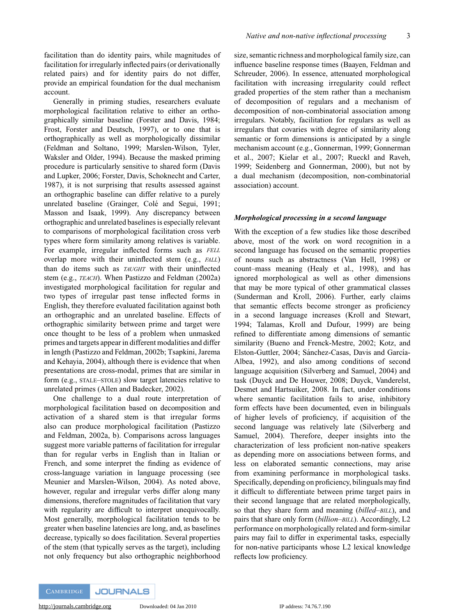facilitation than do identity pairs, while magnitudes of facilitation for irregularly inflected pairs (or derivationally related pairs) and for identity pairs do not differ, provide an empirical foundation for the dual mechanism account.

Generally in priming studies, researchers evaluate morphological facilitation relative to either an orthographically similar baseline (Forster and Davis, 1984; Frost, Forster and Deutsch, 1997), or to one that is orthographically as well as morphologically dissimilar (Feldman and Soltano, 1999; Marslen-Wilson, Tyler, Waksler and Older, 1994). Because the masked priming procedure is particularly sensitive to shared form (Davis and Lupker, 2006; Forster, Davis, Schoknecht and Carter, 1987), it is not surprising that results assessed against an orthographic baseline can differ relative to a purely unrelated baseline (Grainger, Colé and Segui, 1991; Masson and Isaak, 1999). Any discrepancy between orthographic and unrelated baselines is especially relevant to comparisons of morphological facilitation cross verb types where form similarity among relatives is variable. For example, irregular inflected forms such as *FELL* overlap more with their uninflected stem (e.g., *FALL*) than do items such as *TAUGHT* with their uninflected stem (e.g., *TEACH*). When Pastizzo and Feldman (2002a) investigated morphological facilitation for regular and two types of irregular past tense inflected forms in English, they therefore evaluated facilitation against both an orthographic and an unrelated baseline. Effects of orthographic similarity between prime and target were once thought to be less of a problem when unmasked primes and targets appear in different modalities and differ in length (Pastizzo and Feldman, 2002b; Tsapkini, Jarema and Kehayia, 2004), although there is evidence that when presentations are cross-modal, primes that are similar in form (e.g., STALE–STOLE) slow target latencies relative to unrelated primes (Allen and Badecker, 2002).

One challenge to a dual route interpretation of morphological facilitation based on decomposition and activation of a shared stem is that irregular forms also can produce morphological facilitation (Pastizzo and Feldman, 2002a, b). Comparisons across languages suggest more variable patterns of facilitation for irregular than for regular verbs in English than in Italian or French, and some interpret the finding as evidence of cross-language variation in language processing (see Meunier and Marslen-Wilson, 2004). As noted above, however, regular and irregular verbs differ along many dimensions, therefore magnitudes of facilitation that vary with regularity are difficult to interpret unequivocally. Most generally, morphological facilitation tends to be greater when baseline latencies are long, and, as baselines decrease, typically so does facilitation. Several properties of the stem (that typically serves as the target), including not only frequency but also orthographic neighborhood

size, semantic richness and morphological family size, can influence baseline response times (Baayen, Feldman and Schreuder, 2006). In essence, attenuated morphological facilitation with increasing irregularity could reflect graded properties of the stem rather than a mechanism of decomposition of regulars and a mechanism of decomposition of non-combinatorial association among irregulars. Notably, facilitation for regulars as well as irregulars that covaries with degree of similarity along semantic or form dimensions is anticipated by a single mechanism account (e.g., Gonnerman, 1999; Gonnerman et al., 2007; Kielar et al., 2007; Rueckl and Raveh, 1999; Seidenberg and Gonnerman, 2000), but not by a dual mechanism (decomposition, non-combinatorial association) account.

## *Morphological processing in a second language*

With the exception of a few studies like those described above, most of the work on word recognition in a second language has focused on the semantic properties of nouns such as abstractness (Van Hell, 1998) or count–mass meaning (Healy et al., 1998), and has ignored morphological as well as other dimensions that may be more typical of other grammatical classes (Sunderman and Kroll, 2006). Further, early claims that semantic effects become stronger as proficiency in a second language increases (Kroll and Stewart, 1994; Talamas, Kroll and Dufour, 1999) are being refined to differentiate among dimensions of semantic similarity (Bueno and Frenck-Mestre, 2002; Kotz, and Elston-Guttler, 2004; Sánchez-Casas, Davis and García-Albea, 1992), and also among conditions of second language acquisition (Silverberg and Samuel, 2004) and task (Duyck and De Houwer, 2008; Duyck, Vanderelst, Desmet and Hartsuiker, 2008. In fact, under conditions where semantic facilitation fails to arise, inhibitory form effects have been documented, even in bilinguals of higher levels of proficiency, if acquisition of the second language was relatively late (Silverberg and Samuel, 2004). Therefore, deeper insights into the characterization of less proficient non-native speakers as depending more on associations between forms, and less on elaborated semantic connections, may arise from examining performance in morphological tasks. Specifically, depending on proficiency, bilinguals may find it difficult to differentiate between prime target pairs in their second language that are related morphologically, so that they share form and meaning (*billed–BILL*), and pairs that share only form (*billion–BILL*). Accordingly, L2 performance on morphologically related and form-similar pairs may fail to differ in experimental tasks, especially for non-native participants whose L2 lexical knowledge reflects low proficiency.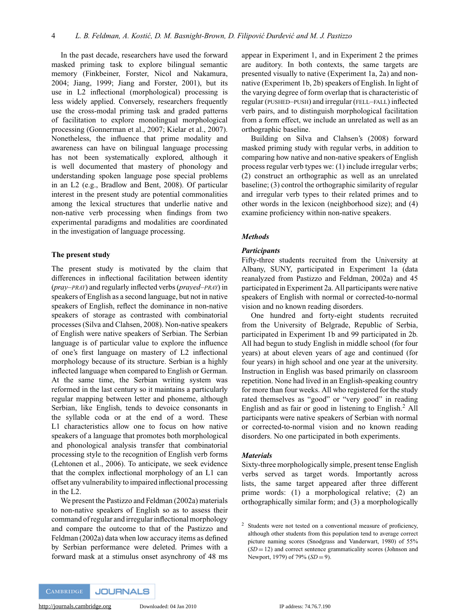In the past decade, researchers have used the forward masked priming task to explore bilingual semantic memory (Finkbeiner, Forster, Nicol and Nakamura, 2004; Jiang, 1999; Jiang and Forster, 2001), but its use in L2 inflectional (morphological) processing is less widely applied. Conversely, researchers frequently use the cross-modal priming task and graded patterns of facilitation to explore monolingual morphological processing (Gonnerman et al., 2007; Kielar et al., 2007). Nonetheless, the influence that prime modality and awareness can have on bilingual language processing has not been systematically explored, although it is well documented that mastery of phonology and understanding spoken language pose special problems in an L2 (e.g., Bradlow and Bent, 2008). Of particular interest in the present study are potential commonalities among the lexical structures that underlie native and non-native verb processing when findings from two experimental paradigms and modalities are coordinated in the investigation of language processing.

#### **The present study**

The present study is motivated by the claim that differences in inflectional facilitation between identity (*pray–PRAY*) and regularly inflected verbs (*prayed–PRAY*) in speakers of English as a second language, but not in native speakers of English, reflect the dominance in non-native speakers of storage as contrasted with combinatorial processes (Silva and Clahsen, 2008). Non-native speakers of English were native speakers of Serbian. The Serbian language is of particular value to explore the influence of one's first language on mastery of L2 inflectional morphology because of its structure. Serbian is a highly inflected language when compared to English or German. At the same time, the Serbian writing system was reformed in the last century so it maintains a particularly regular mapping between letter and phoneme, although Serbian, like English, tends to devoice consonants in the syllable coda or at the end of a word. These L1 characteristics allow one to focus on how native speakers of a language that promotes both morphological and phonological analysis transfer that combinatorial processing style to the recognition of English verb forms (Lehtonen et al., 2006). To anticipate, we seek evidence that the complex inflectional morphology of an L1 can offset any vulnerability to impaired inflectional processing in the L2.

We present the Pastizzo and Feldman (2002a) materials to non-native speakers of English so as to assess their command of regular and irregular inflectional morphology and compare the outcome to that of the Pastizzo and Feldman (2002a) data when low accuracy items as defined by Serbian performance were deleted. Primes with a forward mask at a stimulus onset asynchrony of 48 ms appear in Experiment 1, and in Experiment 2 the primes are auditory. In both contexts, the same targets are presented visually to native (Experiment 1a, 2a) and nonnative (Experiment 1b, 2b) speakers of English. In light of the varying degree of form overlap that is characteristic of regular (PUSHED–PUSH) and irregular (FELL–FALL) inflected verb pairs, and to distinguish morphological facilitation from a form effect, we include an unrelated as well as an orthographic baseline.

Building on Silva and Clahsen's (2008) forward masked priming study with regular verbs, in addition to comparing how native and non-native speakers of English process regular verb types we: (1) include irregular verbs; (2) construct an orthographic as well as an unrelated baseline; (3) control the orthographic similarity of regular and irregular verb types to their related primes and to other words in the lexicon (neighborhood size); and (4) examine proficiency within non-native speakers.

## *Methods*

## *Participants*

Fifty-three students recruited from the University at Albany, SUNY, participated in Experiment 1a (data reanalyzed from Pastizzo and Feldman, 2002a) and 45 participated in Experiment 2a. All participants were native speakers of English with normal or corrected-to-normal vision and no known reading disorders.

One hundred and forty-eight students recruited from the University of Belgrade, Republic of Serbia, participated in Experiment 1b and 99 participated in 2b. All had begun to study English in middle school (for four years) at about eleven years of age and continued (for four years) in high school and one year at the university. Instruction in English was based primarily on classroom repetition. None had lived in an English-speaking country for more than four weeks. All who registered for the study rated themselves as "good" or "very good" in reading English and as fair or good in listening to English.<sup>2</sup> All participants were native speakers of Serbian with normal or corrected-to-normal vision and no known reading disorders. No one participated in both experiments.

#### *Materials*

Sixty-three morphologically simple, present tense English verbs served as target words. Importantly across lists, the same target appeared after three different prime words: (1) a morphological relative; (2) an orthographically similar form; and (3) a morphologically

<sup>&</sup>lt;sup>2</sup> Students were not tested on a conventional measure of proficiency, although other students from this population tend to average correct picture naming scores (Snodgrass and Vanderwart, 1980) of 55%  $(SD = 12)$  and correct sentence grammaticality scores (Johnson and Newport, 1979) of 79% (*SD* = 9).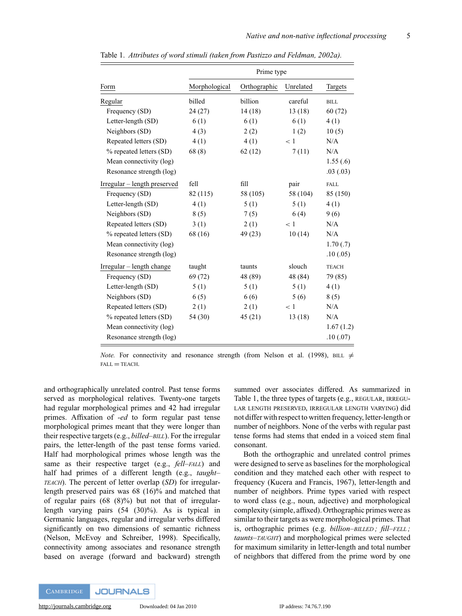|                              | Prime type    |              |           |              |  |
|------------------------------|---------------|--------------|-----------|--------------|--|
| Form                         | Morphological | Orthographic | Unrelated | Targets      |  |
| Regular                      | billed        | billion      | careful   | <b>BILL</b>  |  |
| Frequency (SD)               | 24(27)        | 14(18)       | 13(18)    | 60(72)       |  |
| Letter-length (SD)           | 6(1)          | 6(1)         | 6(1)      | 4(1)         |  |
| Neighbors (SD)               | 4(3)          | 2(2)         | 1(2)      | 10(5)        |  |
| Repeated letters (SD)        | 4(1)          | 4(1)         | < 1       | N/A          |  |
| % repeated letters (SD)      | 68(8)         | 62(12)       | 7(11)     | N/A          |  |
| Mean connectivity (log)      |               |              |           | 1.55(.6)     |  |
| Resonance strength (log)     |               |              |           | .03(0.03)    |  |
| Irregular – length preserved | fell          | fill         | pair      | FALL         |  |
| Frequency (SD)               | 82 (115)      | 58 (105)     | 58 (104)  | 85 (150)     |  |
| Letter-length (SD)           | 4(1)          | 5(1)         | 5(1)      | 4(1)         |  |
| Neighbors (SD)               | 8(5)          | 7(5)         | 6(4)      | 9(6)         |  |
| Repeated letters (SD)        | 3(1)          | 2(1)         | < 1       | N/A          |  |
| % repeated letters (SD)      | 68 (16)       | 49 (23)      | 10(14)    | N/A          |  |
| Mean connectivity (log)      |               |              |           | 1.70(.7)     |  |
| Resonance strength (log)     |               |              |           | .10(0.05)    |  |
| $Irregular - length change$  | taught        | taunts       | slouch    | <b>TEACH</b> |  |
| Frequency (SD)               | 69 (72)       | 48 (89)      | 48 (84)   | 79 (85)      |  |
| Letter-length (SD)           | 5(1)          | 5(1)         | 5(1)      | 4(1)         |  |
| Neighbors (SD)               | 6(5)          | 6(6)         | 5(6)      | 8(5)         |  |
| Repeated letters (SD)        | 2(1)          | 2(1)         | < 1       | N/A          |  |
| % repeated letters (SD)      | 54 (30)       | 45(21)       | 13(18)    | N/A          |  |
| Mean connectivity (log)      |               |              |           | 1.67(1.2)    |  |
| Resonance strength (log)     |               |              |           | .10(0.07)    |  |

Table 1. *Attributes of word stimuli (taken from Pastizzo and Feldman, 2002a).*

*Note.* For connectivity and resonance strength (from Nelson et al. (1998), BILL  $\neq$  $FALL = TEACH$ .

and orthographically unrelated control. Past tense forms served as morphological relatives. Twenty-one targets had regular morphological primes and 42 had irregular primes. Affixation of *-ed* to form regular past tense morphological primes meant that they were longer than their respective targets (e.g., *billed–BILL*). For the irregular pairs, the letter-length of the past tense forms varied. Half had morphological primes whose length was the same as their respective target (e.g., *fell–FALL*) and half had primes of a different length (e.g., *taught– TEACH*). The percent of letter overlap (*SD*) for irregularlength preserved pairs was 68 (16)% and matched that of regular pairs  $(68 \t(8)\%)$  but not that of irregularlength varying pairs (54 (30)%). As is typical in Germanic languages, regular and irregular verbs differed significantly on two dimensions of semantic richness (Nelson, McEvoy and Schreiber, 1998). Specifically, connectivity among associates and resonance strength based on average (forward and backward) strength summed over associates differed. As summarized in Table 1, the three types of targets (e.g., REGULAR, IRREGU-LAR LENGTH PRESERVED, IRREGULAR LENGTH VARYING) did not differ with respect to written frequency, letter-length or number of neighbors. None of the verbs with regular past tense forms had stems that ended in a voiced stem final consonant.

Both the orthographic and unrelated control primes were designed to serve as baselines for the morphological condition and they matched each other with respect to frequency (Kucera and Francis, 1967), letter-length and number of neighbors. Prime types varied with respect to word class (e.g., noun, adjective) and morphological complexity (simple, affixed). Orthographic primes were as similar to their targets as were morphological primes. That is, orthographic primes (e.g. *billion–BILLED ; fill–FELL ; taunts–TAUGHT*) and morphological primes were selected for maximum similarity in letter-length and total number of neighbors that differed from the prime word by one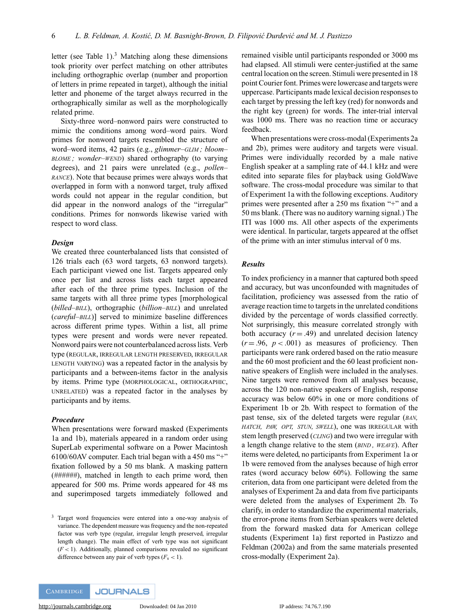letter (see Table 1). $3$  Matching along these dimensions took priority over perfect matching on other attributes including orthographic overlap (number and proportion of letters in prime repeated in target), although the initial letter and phoneme of the target always recurred in the orthographically similar as well as the morphologically related prime.

Sixty-three word–nonword pairs were constructed to mimic the conditions among word–word pairs. Word primes for nonword targets resembled the structure of word–word items, 42 pairs (e.g., *glimmer–GLIM ; bloom– BLOME*; wonder–WEND) shared orthography (to varying degrees), and 21 pairs were unrelated (e.g., *pollen– RANCE*). Note that because primes were always words that overlapped in form with a nonword target, truly affixed words could not appear in the regular condition, but did appear in the nonword analogs of the "irregular" conditions. Primes for nonwords likewise varied with respect to word class.

### *Design*

We created three counterbalanced lists that consisted of 126 trials each (63 word targets, 63 nonword targets). Each participant viewed one list. Targets appeared only once per list and across lists each target appeared after each of the three prime types. Inclusion of the same targets with all three prime types [morphological (*billed–BILL*), orthographic (*billion–BILL*) and unrelated (*careful–BILL*)] served to minimize baseline differences across different prime types. Within a list, all prime types were present and words were never repeated. Nonword pairs were not counterbalanced across lists. Verb type (REGULAR, IRREGULAR LENGTH PRESERVED, IRREGULAR LENGTH VARYING) was a repeated factor in the analysis by participants and a between-items factor in the analysis by items. Prime type (MORPHOLOGICAL, ORTHOGRAPHIC, UNRELATED) was a repeated factor in the analyses by participants and by items.

## *Procedure*

When presentations were forward masked (Experiments 1a and 1b), materials appeared in a random order using SuperLab experimental software on a Power Macintosh 6100/60AV computer. Each trial began with a 450 ms "+" fixation followed by a 50 ms blank. A masking pattern (*######*), matched in length to each prime word, then appeared for 500 ms. Prime words appeared for 48 ms and superimposed targets immediately followed and remained visible until participants responded or 3000 ms had elapsed. All stimuli were center-justified at the same central location on the screen. Stimuli were presented in 18 point Courier font. Primes were lowercase and targets were uppercase. Participants made lexical decision responses to each target by pressing the left key (red) for nonwords and the right key (green) for words. The inter-trial interval was 1000 ms. There was no reaction time or accuracy feedback.

When presentations were cross-modal (Experiments 2a and 2b), primes were auditory and targets were visual. Primes were individually recorded by a male native English speaker at a sampling rate of 44.1 kHz and were edited into separate files for playback using GoldWave software. The cross-modal procedure was similar to that of Experiment 1a with the following exceptions. Auditory primes were presented after a 250 ms fixation "+" and a 50 ms blank. (There was no auditory warning signal.) The ITI was 1000 ms. All other aspects of the experiments were identical. In particular, targets appeared at the offset of the prime with an inter stimulus interval of 0 ms.

### *Results*

To index proficiency in a manner that captured both speed and accuracy, but was unconfounded with magnitudes of facilitation, proficiency was assessed from the ratio of average reaction time to targets in the unrelated conditions divided by the percentage of words classified correctly. Not surprisingly, this measure correlated strongly with both accuracy  $(r = .49)$  and unrelated decision latency  $(r = .96, p < .001)$  as measures of proficiency. Then participants were rank ordered based on the ratio measure and the 60 most proficient and the 60 least proficient nonnative speakers of English were included in the analyses. Nine targets were removed from all analyses because, across the 120 non-native speakers of English, response accuracy was below 60% in one or more conditions of Experiment 1b or 2b. With respect to formation of the past tense, six of the deleted targets were regular (*BAN, HATCH, PAW, OPT, STUN, SWELL*), one was IRREGULAR with stem length preserved (*CLING*) and two were irregular with a length change relative to the stem (*BIND , WEAVE*). After items were deleted, no participants from Experiment 1a or 1b were removed from the analyses because of high error rates (word accuracy below 60%). Following the same criterion, data from one participant were deleted from the analyses of Experiment 2a and data from five participants were deleted from the analyses of Experiment 2b. To clarify, in order to standardize the experimental materials, the error-prone items from Serbian speakers were deleted from the forward masked data for American college students (Experiment 1a) first reported in Pastizzo and Feldman (2002a) and from the same materials presented cross-modally (Experiment 2a).

<sup>&</sup>lt;sup>3</sup> Target word frequencies were entered into a one-way analysis of variance. The dependent measure was frequency and the non-repeated factor was verb type (regular, irregular length preserved, irregular length change). The main effect of verb type was not significant  $(F < 1)$ . Additionally, planned comparisons revealed no significant difference between any pair of verb types  $(F_s < 1)$ .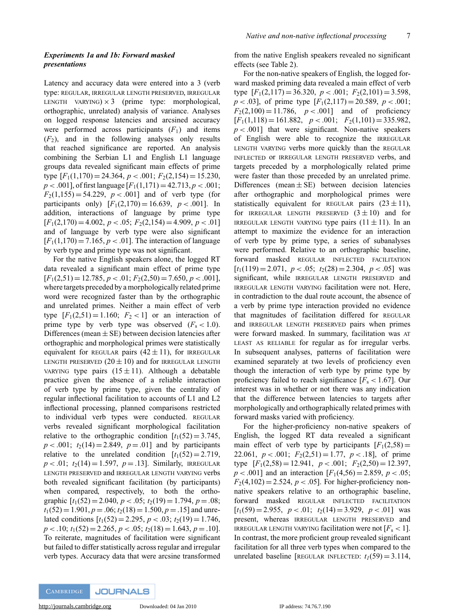# *Experiments 1a and 1b: Forward masked presentations*

Latency and accuracy data were entered into a 3 (verb type: REGULAR, IRREGULAR LENGTH PRESERVED, IRREGULAR LENGTH VARYING)  $\times$  3 (prime type: morphological, orthographic, unrelated) analysis of variance. Analyses on logged response latencies and arcsined accuracy were performed across participants  $(F_1)$  and items  $(F_2)$ , and in the following analyses only results that reached significance are reported. An analysis combining the Serbian L1 and English L1 language groups data revealed significant main effects of prime type  $[F_1(1,170) = 24.364, p < .001; F_2(2,154) = 15.230,$  $p < .001$ ], of first language  $[F_1(1,171) = 42.713, p < .001;$  $F_2(1,155) = 54.229$ ,  $p < .001$  and of verb type (for participants only)  $[F_1(2,170) = 16.639, p < .001]$ . In addition, interactions of language by prime type  $[F_1(2,170) = 4.002, p < .05; F_2(2,154) = 4.909, p < .01]$ and of language by verb type were also significant  $[F_1(1,170) = 7.165, p < .01]$ . The interaction of language by verb type and prime type was not significant.

For the native English speakers alone, the logged RT data revealed a significant main effect of prime type  $[F_1(2,51) = 12.785, p < .01; F_2(2,50) = 7.650, p < .001]$ where targets preceded by a morphologically related prime word were recognized faster than by the orthographic and unrelated primes. Neither a main effect of verb type  $[F_1(2,51) = 1.160; F_2 < 1]$  or an interaction of prime type by verb type was observed  $(F_s < 1.0)$ . Differences (mean  $\pm$  SE) between decision latencies after orthographic and morphological primes were statistically equivalent for REGULAR pairs  $(42 \pm 11)$ , for IRREGULAR LENGTH PRESERVED  $(20 \pm 10)$  and for IRREGULAR LENGTH VARYING type pairs  $(15 \pm 11)$ . Although a debatable practice given the absence of a reliable interaction of verb type by prime type, given the centrality of regular inflectional facilitation to accounts of L1 and L2 inflectional processing, planned comparisons restricted to individual verb types were conducted. REGULAR verbs revealed significant morphological facilitation relative to the orthographic condition  $[t_1(52) = 3.745]$ ,  $p < .001$ ;  $t_2(14) = 2.849$ ,  $p = .01$ ] and by participants relative to the unrelated condition  $[t_1(52) = 2.719]$ ,  $p < .01$ ;  $t_2(14) = 1.597$ ,  $p = .13$ ]. Similarly, IRREGULAR LENGTH PRESERVED and IRREGULAR LENGTH VARYING verbs both revealed significant facilitation (by participants) when compared, respectively, to both the orthographic  $[t_1(52) = 2.040, p < .05; t_2(19) = 1.794, p = .08;$  $t_1(52) = 1.901, p = .06$ ;  $t_2(18) = 1.500, p = .15$ ] and unrelated conditions  $[t_1(52) = 2.295, p < .03; t_2(19) = 1.746,$  $p < .10$ ;  $t_1(52) = 2.265$ ,  $p < .05$ ;  $t_2(18) = 1.643$ ,  $p = .10$ ]. To reiterate, magnitudes of facilitation were significant but failed to differ statistically across regular and irregular verb types. Accuracy data that were arcsine transformed from the native English speakers revealed no significant effects (see Table 2).

For the non-native speakers of English, the logged forward masked priming data revealed a main effect of verb type  $[F_1(2,117) = 36.320, p < .001; F_2(2,101) = 3.598,$  $p < .03$ , of prime type  $[F_1(2,117) = 20.589, p < .001;$  $F_2(2,100) = 11.786$ ,  $p < .001$ ] and of proficiency  $[F_1(1,118) = 161.882, p < .001; F_2(1,101) = 335.982,$  $p < .001$ ] that were significant. Non-native speakers of English were able to recognize the IRREGULAR LENGTH VARYING verbs more quickly than the REGULAR INFLECTED or IRREGULAR LENGTH PRESERVED verbs, and targets preceded by a morphologically related prime were faster than those preceded by an unrelated prime. Differences (mean  $\pm$  SE) between decision latencies after orthographic and morphological primes were statistically equivalent for REGULAR pairs  $(23 \pm 11)$ , for IRREGULAR LENGTH PRESERVED  $(3 \pm 10)$  and for IRREGULAR LENGTH VARYING type pairs  $(11 \pm 11)$ . In an attempt to maximize the evidence for an interaction of verb type by prime type, a series of subanalyses were performed. Relative to an orthographic baseline, forward masked REGULAR INFLECTED FACILITATION  $[t_1(119) = 2.071, p < .05; t_2(28) = 2.304, p < .05]$  was significant, while IRREGULAR LENGTH PRESERVED and IRREGULAR LENGTH VARYING facilitation were not. Here, in contradiction to the dual route account, the absence of a verb by prime type interaction provided no evidence that magnitudes of facilitation differed for REGULAR and IRREGULAR LENGTH PRESERVED pairs when primes were forward masked. In summary, facilitation was AT LEAST AS RELIABLE for regular as for irregular verbs. In subsequent analyses, patterns of facilitation were examined separately at two levels of proficiency even though the interaction of verb type by prime type by proficiency failed to reach significance  $[F_s < 1.67]$ . Our interest was in whether or not there was any indication that the difference between latencies to targets after morphologically and orthographically related primes with forward masks varied with proficiency.

For the higher-proficiency non-native speakers of English, the logged RT data revealed a significant main effect of verb type by participants  $[F_1(2,58) =$ 22.061,  $p < .001$ ;  $F_2(2,51) = 1.77$ ,  $p < .18$ ], of prime type  $[F_1(2,58) = 12.941, p < .001; F_2(2,50) = 12.397,$  $p < .001$ ] and an interaction  $[F_1(4, 56) = 2.859, p < .05;$  $F_2(4,102) = 2.524$ ,  $p < .05$ . For higher-proficiency nonnative speakers relative to an orthographic baseline, forward masked REGULAR INFLECTED FACILITATION  $[t_1(59) = 2.955, p < .01; t_2(14) = 3.929, p < .01]$  was present, whereas IRREGULAR LENGTH PRESERVED and IRREGULAR LENGTH VARYING facilitation were not  $[F_s < 1]$ . In contrast, the more proficient group revealed significant facilitation for all three verb types when compared to the unrelated baseline [REGULAR INFLECTED:  $t_1(59) = 3.114$ ,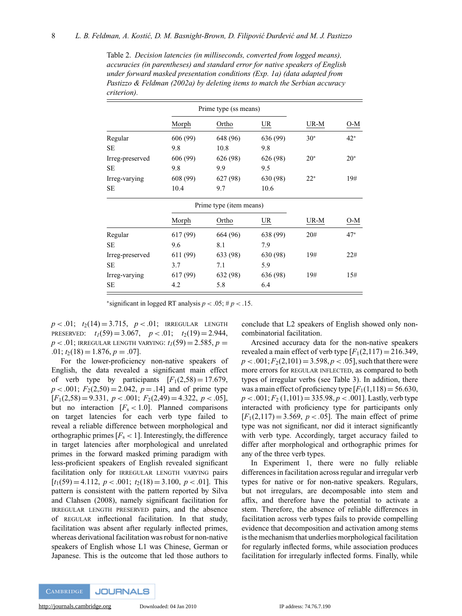| 01 MUN WILL.    |                       |                         |          |       |       |
|-----------------|-----------------------|-------------------------|----------|-------|-------|
|                 | Prime type (ss means) |                         |          |       |       |
|                 | Morph                 | Ortho                   | $UR$     | UR-M  | O-M   |
| Regular         | 606 (99)              | 648 (96)                | 636 (99) | $30*$ | $42*$ |
| SE              | 9.8                   | 10.8                    | 9.8      |       |       |
| Irreg-preserved | 606 (99)              | 626 (98)                | 626 (98) | $20*$ | $20*$ |
| SE              | 9.8                   | 9.9                     | 9.5      |       |       |
| Irreg-varying   | 608 (99)              | 627 (98)                | 630 (98) | $22*$ | 19#   |
| SE              | 10.4                  | 9.7                     | 10.6     |       |       |
|                 |                       | Prime type (item means) |          |       |       |
|                 | Morph                 | Ortho                   | $UR$     | UR-M  | O-M   |
| Regular         | 617 (99)              | 664 (96)                | 638 (99) | 20#   | $47*$ |
| <b>SE</b>       | 9.6                   | 8.1                     | 7.9      |       |       |
| Irreg-preserved | 611 (99)              | 633 (98)                | 630 (98) | 19#   | 22#   |
| <b>SE</b>       | 3.7                   | 7.1                     | 5.9      |       |       |
| Irreg-varying   | 617 (99)              | 632 (98)                | 636 (98) | 19#   | 15#   |
| SE              | 4.2                   | 5.8                     | 6.4      |       |       |

Table 2. *Decision latencies (in milliseconds, converted from logged means), accuracies (in parentheses) and standard error for native speakers of English under forward masked presentation conditions (Exp. 1a) (data adapted from Pastizzo & Feldman (2002a) by deleting items to match the Serbian accuracy criterion).*

\*significant in logged RT analysis  $p < .05$ ;  $\# p < .15$ .

 $p < .01$ ;  $t_2(14) = 3.715$ ,  $p < .01$ ; IRREGULAR LENGTH PRESERVED:  $t_1(59) = 3.067$ ,  $p < .01$ ;  $t_2(19) = 2.944$ ,  $p < .01$ ; IRREGULAR LENGTH VARYING:  $t_1(59) = 2.585$ ,  $p =$  $.01; t_2(18) = 1.876, p = .07$ .

For the lower-proficiency non-native speakers of English, the data revealed a significant main effect of verb type by participants  $[F_1(2,58) = 17.679]$ ,  $p < .001$ ;  $F_2(2,50) = 2.042$ ,  $p = .14$ ] and of prime type  $[F_1(2,58) = 9.331, p < .001; F_2(2,49) = 4.322, p < .05]$ but no interaction  $[F_s < 1.0]$ . Planned comparisons on target latencies for each verb type failed to reveal a reliable difference between morphological and orthographic primes  $[F_s < 1]$ . Interestingly, the difference in target latencies after morphological and unrelated primes in the forward masked priming paradigm with less-proficient speakers of English revealed significant facilitation only for IRREGULAR LENGTH VARYING pairs  $[t_1(59) = 4.112, p < .001; t_2(18) = 3.100, p < .01]$ . This pattern is consistent with the pattern reported by Silva and Clahsen (2008), namely significant facilitation for IRREGULAR LENGTH PRESERVED pairs, and the absence of REGULAR inflectional facilitation. In that study, facilitation was absent after regularly inflected primes, whereas derivational facilitation was robust for non-native speakers of English whose L1 was Chinese, German or Japanese. This is the outcome that led those authors to

conclude that L2 speakers of English showed only noncombinatorial facilitation.

Arcsined accuracy data for the non-native speakers revealed a main effect of verb type  $[F_1(2,117) = 216.349,$  $p < .001; F_2(2, 101) = 3.598, p < .05$ , such that there were more errors for REGULAR INFLECTED, as compared to both types of irregular verbs (see Table 3). In addition, there was a main effect of proficiency type  $[F_1(1,118) = 56.630]$ ,  $p < .001$ ;  $F_2(1,101) = 335.98$ ,  $p < .001$ ]. Lastly, verb type interacted with proficiency type for participants only  $[F_1(2,117) = 3.569, p < .05]$ . The main effect of prime type was not significant, nor did it interact significantly with verb type. Accordingly, target accuracy failed to differ after morphological and orthographic primes for any of the three verb types.

In Experiment 1, there were no fully reliable differences in facilitation across regular and irregular verb types for native or for non-native speakers. Regulars, but not irregulars, are decomposable into stem and affix, and therefore have the potential to activate a stem. Therefore, the absence of reliable differences in facilitation across verb types fails to provide compelling evidence that decomposition and activation among stems is the mechanism that underlies morphological facilitation for regularly inflected forms, while association produces facilitation for irregularly inflected forms. Finally, while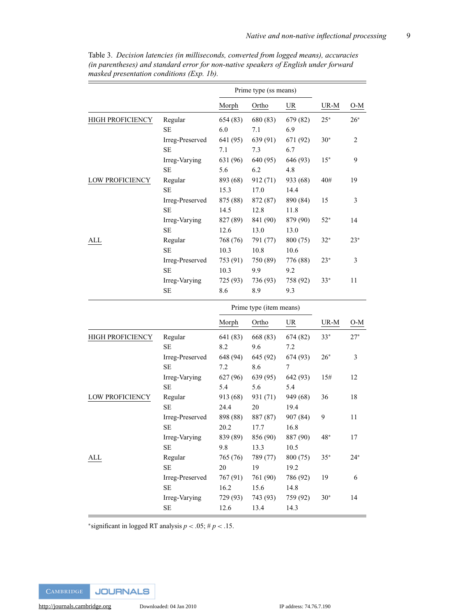$\overline{\phantom{a}}$ 

|                  |                 | Prime type (ss means) |                         |           |       |                |
|------------------|-----------------|-----------------------|-------------------------|-----------|-------|----------------|
|                  |                 | Morph                 | Ortho                   | <b>UR</b> | UR-M  | O-M            |
| HIGH PROFICIENCY | Regular         | 654 (83)              | 680 (83)                | 679 (82)  | $25*$ | $26*$          |
|                  | <b>SE</b>       | 6.0                   | 7.1                     | 6.9       |       |                |
|                  | Irreg-Preserved | 641 (95)              | 639 (91)                | 671 (92)  | $30*$ | $\overline{2}$ |
|                  | <b>SE</b>       | 7.1                   | 7.3                     | 6.7       |       |                |
|                  | Irreg-Varying   | 631 (96)              | 640 (95)                | 646 (93)  | $15*$ | 9              |
|                  | <b>SE</b>       | 5.6                   | 6.2                     | 4.8       |       |                |
| LOW PROFICIENCY  | Regular         | 893 (68)              | 912 (71)                | 933 (68)  | 40#   | 19             |
|                  | <b>SE</b>       | 15.3                  | 17.0                    | 14.4      |       |                |
|                  | Irreg-Preserved | 875 (88)              | 872 (87)                | 890 (84)  | 15    | 3              |
|                  | <b>SE</b>       | 14.5                  | 12.8                    | 11.8      |       |                |
|                  | Irreg-Varying   | 827 (89)              | 841 (90)                | 879 (90)  | $52*$ | 14             |
|                  | <b>SE</b>       | 12.6                  | 13.0                    | 13.0      |       |                |
| ALL              | Regular         | 768 (76)              | 791 (77)                | 800 (75)  | $32*$ | $23*$          |
|                  | <b>SE</b>       | 10.3                  | 10.8                    | 10.6      |       |                |
|                  | Irreg-Preserved | 753 (91)              | 750 (89)                | 776 (88)  | $23*$ | 3              |
|                  | <b>SE</b>       | 10.3                  | 9.9                     | 9.2       |       |                |
|                  | Irreg-Varying   | 725 (93)              | 736 (93)                | 758 (92)  | $33*$ | 11             |
|                  | <b>SE</b>       | 8.6                   | 8.9                     | 9.3       |       |                |
|                  |                 |                       | Prime type (item means) |           |       |                |
|                  |                 | Morph                 | Ortho                   | <b>UR</b> | UR-M  | O-M            |
| HIGH PROFICIENCY | Regular         | 641 (83)              | 668 (83)                | 674 (82)  | $33*$ | $27*$          |
|                  | SE              | 8.2                   | 9.6                     | 7.2       |       |                |
|                  | Irreg-Preserved | 648 (94)              | 645 (92)                | 674 (93)  | 26*   | 3              |
|                  | <b>SE</b>       | 7.2                   | 8.6                     | 7         |       |                |
|                  | Irreg-Varying   | 627 (96)              | 639 (95)                | 642 (93)  | 15#   | 12             |
|                  | <b>SE</b>       | 5.4                   | 5.6                     | 5.4       |       |                |
| LOW PROFICIENCY  | Regular         | 913 (68)              | 931 (71)                | 949 (68)  | 36    | 18             |
|                  | $\rm SE$        | 24.4                  | 20                      | 19.4      |       |                |
|                  | Irreg-Preserved | 898 (88)              | 887 (87)                | 907 (84)  | 9     | 11             |
|                  | <b>SE</b>       | 20.2                  | 17.7                    | 16.8      |       |                |
|                  | Irreg-Varying   | 839 (89)              | 856 (90)                | 887 (90)  | 48*   | 17             |
|                  | <b>SE</b>       | 9.8                   | 13.3                    | 10.5      |       |                |
| ALL              | Regular         | 765 (76)              | 789 (77)                | 800 (75)  | $35*$ | $24*$          |
|                  | <b>SE</b>       | 20                    | 19                      | 19.2      |       |                |
|                  | Irreg-Preserved | 767 (91)              | 761 (90)                | 786 (92)  | 19    | 6              |
|                  | SE              | 16.2                  | 15.6                    | 14.8      |       |                |
|                  |                 |                       |                         |           |       |                |
|                  | Irreg-Varying   | 729 (93)              | 743 (93)                | 759 (92)  | $30*$ | 14             |

Table 3. *Decision latencies (in milliseconds, converted from logged means), accuracies (in parentheses) and standard error for non-native speakers of English under forward masked presentation conditions (Exp. 1b).*

\*significant in logged RT analysis  $p < .05$ ; #  $p < .15$ .

**JOURNALS** 

 $\equiv$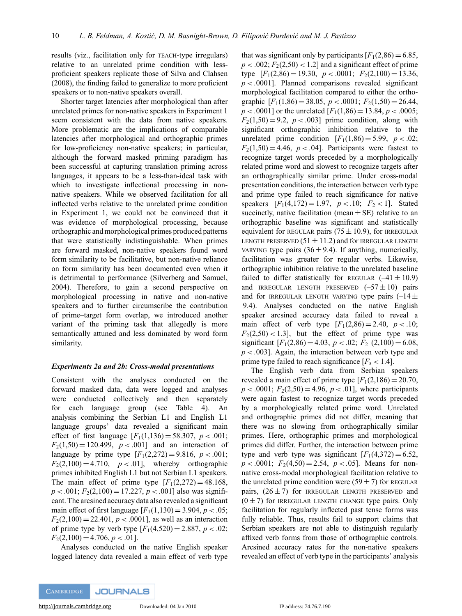results (viz., facilitation only for TEACH-type irregulars) relative to an unrelated prime condition with lessproficient speakers replicate those of Silva and Clahsen (2008), the finding failed to generalize to more proficient speakers or to non-native speakers overall.

Shorter target latencies after morphological than after unrelated primes for non-native speakers in Experiment 1 seem consistent with the data from native speakers. More problematic are the implications of comparable latencies after morphological and orthographic primes for low-proficiency non-native speakers; in particular, although the forward masked priming paradigm has been successful at capturing translation priming across languages, it appears to be a less-than-ideal task with which to investigate inflectional processing in nonnative speakers. While we observed facilitation for all inflected verbs relative to the unrelated prime condition in Experiment 1, we could not be convinced that it was evidence of morphological processing, because orthographic and morphological primes produced patterns that were statistically indistinguishable. When primes are forward masked, non-native speakers found word form similarity to be facilitative, but non-native reliance on form similarity has been documented even when it is detrimental to performance (Silverberg and Samuel, 2004). Therefore, to gain a second perspective on morphological processing in native and non-native speakers and to further circumscribe the contribution of prime–target form overlap, we introduced another variant of the priming task that allegedly is more semantically attuned and less dominated by word form similarity.

### *Experiments 2a and 2b: Cross-modal presentations*

Consistent with the analyses conducted on the forward masked data, data were logged and analyses were conducted collectively and then separately for each language group (see Table 4). An analysis combining the Serbian L1 and English L1 language groups' data revealed a significant main effect of first language  $[F_1(1,136) = 58.307, p < .001;$  $F_2(1,50) = 120.499$ ,  $p < .001$  and an interaction of language by prime type  $[F_1(2,272) = 9.816, p < .001;$  $F_2(2,100) = 4.710$ ,  $p < .01$ , whereby orthographic primes inhibited English L1 but not Serbian L1 speakers. The main effect of prime type  $[F_1(2,272) = 48.168]$ ,  $p < .001$ ;  $F<sub>2</sub>(2,100) = 17.227$ ,  $p < .001$ ] also was significant. The arcsined accuracy data also revealed a significant main effect of first language  $[F_1(1,130) = 3.904, p < .05;$  $F_2(2,100) = 22.401, p < .0001$ , as well as an interaction of prime type by verb type  $[F_1(4,520) = 2.887, p < .02;$  $F_2(2,100) = 4.706, p < .01$ .

Analyses conducted on the native English speaker logged latency data revealed a main effect of verb type

that was significant only by participants  $[F_1(2,86) = 6.85]$ ,  $p < .002$ ;  $F<sub>2</sub>(2,50) < 1.2$ ] and a significant effect of prime type  $[F_1(2,86) = 19.30, p < .0001; F_2(2,100) = 13.36,$  $p < .0001$ ]. Planned comparisons revealed significant morphological facilitation compared to either the orthographic  $[F_1(1,86) = 38.05, p < .0001; F_2(1,50) = 26.44,$  $p < .0001$  or the unrelated  $[F_1(1,86) = 13.84, p < .0005;$  $F_2(1,50) = 9.2$ ,  $p < .003$ ] prime condition, along with significant orthographic inhibition relative to the unrelated prime condition  $[F_1(1,86) = 5.99, p < .02;$  $F_2(1,50) = 4.46$ ,  $p < .04$ ]. Participants were fastest to recognize target words preceded by a morphologically related prime word and slowest to recognize targets after an orthographically similar prime. Under cross-modal presentation conditions, the interaction between verb type and prime type failed to reach significance for native speakers  $[F_1(4,172) = 1.97, p < .10; F_2 < 1]$ . Stated succinctly, native facilitation (mean  $\pm$  SE) relative to an orthographic baseline was significant and statistically equivalent for REGULAR pairs ( $75 \pm 10.9$ ), for IRREGULAR LENGTH PRESERVED  $(51 \pm 11.2)$  and for IRREGULAR LENGTH VARYING type pairs  $(36 \pm 9.4)$ . If anything, numerically, facilitation was greater for regular verbs. Likewise, orthographic inhibition relative to the unrelated baseline failed to differ statistically for REGULAR  $(-41 \pm 10.9)$ and IRREGULAR LENGTH PRESERVED  $(-57 \pm 10)$  pairs and for IRREGULAR LENGTH VARYING type pairs  $(-14 \pm$ 9.4). Analyses conducted on the native English speaker arcsined accuracy data failed to reveal a main effect of verb type  $[F_1(2,86) = 2.40, p < .10;$  $F<sub>2</sub>(2,50) < 1.3$ , but the effect of prime type was significant  $[F_1(2,86) = 4.03, p < .02; F_2(2,100) = 6.08,$ *p < .*003]. Again, the interaction between verb type and prime type failed to reach significance  $[F_s < 1.4]$ .

The English verb data from Serbian speakers revealed a main effect of prime type  $[F_1(2,186) = 20.70,$  $p < .0001$ ;  $F<sub>2</sub>(2,50) = 4.96$ ,  $p < .01$ ], where participants were again fastest to recognize target words preceded by a morphologically related prime word. Unrelated and orthographic primes did not differ, meaning that there was no slowing from orthographically similar primes. Here, orthographic primes and morphological primes did differ. Further, the interaction between prime type and verb type was significant  $[F_1(4,372) = 6.52]$ ,  $p < .0001$ ;  $F_2(4,50) = 2.54$ ,  $p < .05$ ]. Means for nonnative cross-modal morphological facilitation relative to the unrelated prime condition were  $(59 \pm 7)$  for REGULAR pairs,  $(26 \pm 7)$  for IRREGULAR LENGTH PRESERVED and  $(0 \pm 7)$  for IRREGULAR LENGTH CHANGE type pairs. Only facilitation for regularly inflected past tense forms was fully reliable. Thus, results fail to support claims that Serbian speakers are not able to distinguish regularly affixed verb forms from those of orthographic controls. Arcsined accuracy rates for the non-native speakers revealed an effect of verb type in the participants' analysis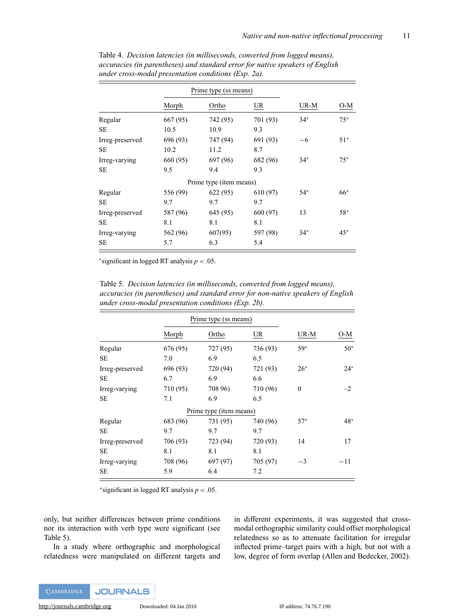|                 | Prime type (ss means) |                         |          |       |       |
|-----------------|-----------------------|-------------------------|----------|-------|-------|
|                 | Morph                 | Ortho                   | UR       | UR-M  | O-M   |
| Regular         | 667 (95)              | 742 (95)                | 701 (93) | $34*$ | $75*$ |
| <b>SE</b>       | 10.5                  | 10.9                    | 9.3      |       |       |
| Irreg-preserved | 696 (93)              | 747 (94)                | 691 (93) | -6    | $51*$ |
| <b>SE</b>       | 10.2                  | 11.2                    | 8.7      |       |       |
| Irreg-varying   | 660 (95)              | 697 (96)                | 682 (96) | $34*$ | $75*$ |
| <b>SE</b>       | 9.5                   | 9.4                     | 9.3      |       |       |
|                 |                       | Prime type (item means) |          |       |       |
| Regular         | 556 (99)              | 622 (95)                | 610 (97) | $54*$ | 66*   |
| <b>SE</b>       | 9.7                   | 9.7                     | 9.7      |       |       |
| Irreg-preserved | 587 (96)              | 645 (95)                | 600 (97) | 13    | 58*   |
| <b>SE</b>       | 8.1                   | 8.1                     | 8.1      |       |       |
| Irreg-varying   | 562 (96)              | 607(95)                 | 597 (98) | $34*$ | $45*$ |
| <b>SE</b>       | 5.7                   | 6.3                     | 5.4      |       |       |

Table 4. *Decision latencies (in milliseconds, converted from logged means), accuracies (in parentheses) and standard error for native speakers of English under cross-modal presentation conditions (Exp. 2a).*

<sup>∗</sup>significant in logged RT analysis *p <* .05.

Table 5. *Decision latencies (in milliseconds, converted from logged means), accuracies (in parentheses) and standard error for non-native speakers of English under cross-modal presentation conditions (Exp. 2b).*

|                 |          | Prime type (ss means)   |                           |          |       |
|-----------------|----------|-------------------------|---------------------------|----------|-------|
|                 | Morph    | Ortho                   | $\underline{\mathsf{UR}}$ | UR-M     | O-M   |
| Regular         | 676 (95) | 727 (95)                | 736 (93)                  | 59*      | $50*$ |
| <b>SE</b>       | 7.0      | 6.9                     | 6.5                       |          |       |
| Irreg-preserved | 696 (93) | 720 (94)                | 721 (93)                  | $26*$    | $24*$ |
| <b>SE</b>       | 6.7      | 6.9                     | 6.6                       |          |       |
| Irreg-varying   | 710 (95) | 708 96)                 | 710 (96)                  | $\theta$ | $-2$  |
| <b>SE</b>       | 7.1      | 6.9                     | 6.5                       |          |       |
|                 |          | Prime type (item means) |                           |          |       |
| Regular         | 683 (96) | 731 (95)                | 740 (96)                  | $57*$    | 48*   |
| SЕ              | 9.7      | 9.7                     | 9.7                       |          |       |
| Irreg-preserved | 706 (93) | 723 (94)                | 720 (93)                  | 14       | 17    |
| <b>SE</b>       | 8.1      | 8.1                     | 8.1                       |          |       |
| Irreg-varying   | 708 (96) | 697 (97)                | 705 (97)                  | $-3$     | $-11$ |
| SE              | 5.9      | 6.4                     | 7.2                       |          |       |

<sup>∗</sup>significant in logged RT analysis *p <* .05.

only, but neither differences between prime conditions nor its interaction with verb type were significant (see Table 5).

In a study where orthographic and morphological relatedness were manipulated on different targets and in different experiments, it was suggested that crossmodal orthographic similarity could offset morphological relatedness so as to attenuate facilitation for irregular inflected prime–target pairs with a high, but not with a low, degree of form overlap (Allen and Bedecker, 2002).

**CAMBRIDGE JOURNALS**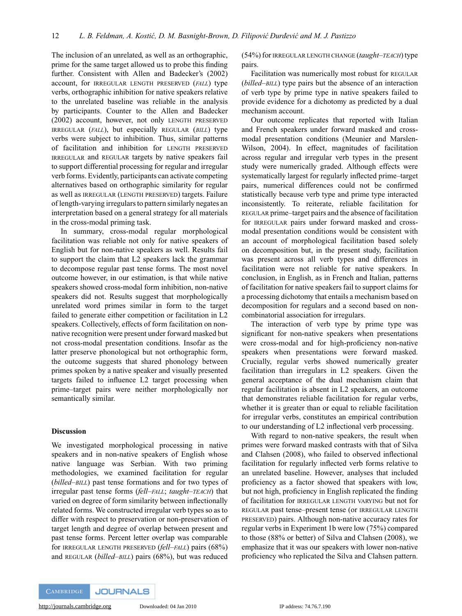The inclusion of an unrelated, as well as an orthographic, prime for the same target allowed us to probe this finding further. Consistent with Allen and Badecker's (2002) account, for IRREGULAR LENGTH PRESERVED (*FALL*) type verbs, orthographic inhibition for native speakers relative to the unrelated baseline was reliable in the analysis by participants. Counter to the Allen and Badecker (2002) account, however, not only LENGTH PRESERVED IRREGULAR (*FALL*), but especially REGULAR (*BILL*) type verbs were subject to inhibition. Thus, similar patterns of facilitation and inhibition for LENGTH PRESERVED IRREGULAR and REGULAR targets by native speakers fail to support differential processing for regular and irregular verb forms. Evidently, participants can activate competing alternatives based on orthographic similarity for regular as well as IRREGULAR (LENGTH PRESERVED) targets. Failure of length-varying irregulars to pattern similarly negates an interpretation based on a general strategy for all materials in the cross-modal priming task.

In summary, cross-modal regular morphological facilitation was reliable not only for native speakers of English but for non-native speakers as well. Results fail to support the claim that L2 speakers lack the grammar to decompose regular past tense forms. The most novel outcome however, in our estimation, is that while native speakers showed cross-modal form inhibition, non-native speakers did not. Results suggest that morphologically unrelated word primes similar in form to the target failed to generate either competition or facilitation in L2 speakers. Collectively, effects of form facilitation on nonnative recognition were present under forward masked but not cross-modal presentation conditions. Insofar as the latter preserve phonological but not orthographic form, the outcome suggests that shared phonology between primes spoken by a native speaker and visually presented targets failed to influence L2 target processing when prime–target pairs were neither morphologically nor semantically similar.

### **Discussion**

We investigated morphological processing in native speakers and in non-native speakers of English whose native language was Serbian. With two priming methodologies, we examined facilitation for regular (*billed–BILL*) past tense formations and for two types of irregular past tense forms (*fell–FALL*; *taught–TEACH*) that varied on degree of form similarity between inflectionally related forms. We constructed irregular verb types so as to differ with respect to preservation or non-preservation of target length and degree of overlap between present and past tense forms. Percent letter overlap was comparable for IRREGULAR LENGTH PRESERVED (*fell–FALL*) pairs (68%) and REGULAR (*billed–BILL*) pairs (68%), but was reduced (54%) forIRREGULAR LENGTH CHANGE (*taught–TEACH*) type pairs.

Facilitation was numerically most robust for REGULAR (*billed–BILL*) type pairs but the absence of an interaction of verb type by prime type in native speakers failed to provide evidence for a dichotomy as predicted by a dual mechanism account.

Our outcome replicates that reported with Italian and French speakers under forward masked and crossmodal presentation conditions (Meunier and Marslen-Wilson, 2004). In effect, magnitudes of facilitation across regular and irregular verb types in the present study were numerically graded. Although effects were systematically largest for regularly inflected prime–target pairs, numerical differences could not be confirmed statistically because verb type and prime type interacted inconsistently. To reiterate, reliable facilitation for REGULAR prime–target pairs and the absence of facilitation for IRREGULAR pairs under forward masked and crossmodal presentation conditions would be consistent with an account of morphological facilitation based solely on decomposition but, in the present study, facilitation was present across all verb types and differences in facilitation were not reliable for native speakers. In conclusion, in English, as in French and Italian, patterns of facilitation for native speakers fail to support claims for a processing dichotomy that entails a mechanism based on decomposition for regulars and a second based on noncombinatorial association for irregulars.

The interaction of verb type by prime type was significant for non-native speakers when presentations were cross-modal and for high-proficiency non-native speakers when presentations were forward masked. Crucially, regular verbs showed numerically greater facilitation than irregulars in L2 speakers. Given the general acceptance of the dual mechanism claim that regular facilitation is absent in L2 speakers, an outcome that demonstrates reliable facilitation for regular verbs, whether it is greater than or equal to reliable facilitation for irregular verbs, constitutes an empirical contribution to our understanding of L2 inflectional verb processing.

With regard to non-native speakers, the result when primes were forward masked contrasts with that of Silva and Clahsen (2008), who failed to observed inflectional facilitation for regularly inflected verb forms relative to an unrelated baseline. However, analyses that included proficiency as a factor showed that speakers with low, but not high, proficiency in English replicated the finding of facilitation for IRREGULAR LENGTH VARYING but not for REGULAR past tense–present tense (or IRREGULAR LENGTH PRESERVED) pairs. Although non-native accuracy rates for regular verbs in Experiment 1b were low (75%) compared to those (88% or better) of Silva and Clahsen (2008), we emphasize that it was our speakers with lower non-native proficiency who replicated the Silva and Clahsen pattern.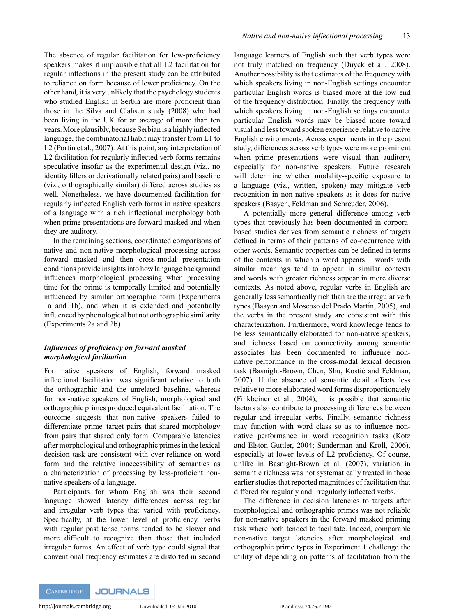The absence of regular facilitation for low-proficiency speakers makes it implausible that all L2 facilitation for regular inflections in the present study can be attributed to reliance on form because of lower proficiency. On the other hand, it is very unlikely that the psychology students who studied English in Serbia are more proficient than those in the Silva and Clahsen study (2008) who had been living in the UK for an average of more than ten years. More plausibly, because Serbian is a highly inflected language, the combinatorial habit may transfer from L1 to L2 (Portin et al., 2007). At this point, any interpretation of L2 facilitation for regularly inflected verb forms remains speculative insofar as the experimental design (viz., no identity fillers or derivationally related pairs) and baseline (viz., orthographically similar) differed across studies as well. Nonetheless, we have documented facilitation for regularly inflected English verb forms in native speakers of a language with a rich inflectional morphology both when prime presentations are forward masked and when they are auditory.

In the remaining sections, coordinated comparisons of native and non-native morphological processing across forward masked and then cross-modal presentation conditions provide insights into how language background influences morphological processing when processing time for the prime is temporally limited and potentially influenced by similar orthographic form (Experiments 1a and 1b), and when it is extended and potentially influenced by phonological but not orthographic similarity (Experiments 2a and 2b).

# *Influences of proficiency on forward masked morphological facilitation*

For native speakers of English, forward masked inflectional facilitation was significant relative to both the orthographic and the unrelated baseline, whereas for non-native speakers of English, morphological and orthographic primes produced equivalent facilitation. The outcome suggests that non-native speakers failed to differentiate prime–target pairs that shared morphology from pairs that shared only form. Comparable latencies after morphological and orthographic primes in the lexical decision task are consistent with over-reliance on word form and the relative inaccessibility of semantics as a characterization of processing by less-proficient nonnative speakers of a language.

Participants for whom English was their second language showed latency differences across regular and irregular verb types that varied with proficiency. Specifically, at the lower level of proficiency, verbs with regular past tense forms tended to be slower and more difficult to recognize than those that included irregular forms. An effect of verb type could signal that conventional frequency estimates are distorted in second language learners of English such that verb types were not truly matched on frequency (Duyck et al., 2008). Another possibility is that estimates of the frequency with which speakers living in non-English settings encounter particular English words is biased more at the low end of the frequency distribution. Finally, the frequency with which speakers living in non-English settings encounter particular English words may be biased more toward visual and less toward spoken experience relative to native English environments. Across experiments in the present study, differences across verb types were more prominent when prime presentations were visual than auditory, especially for non-native speakers. Future research will determine whether modality-specific exposure to a language (viz., written, spoken) may mitigate verb recognition in non-native speakers as it does for native speakers (Baayen, Feldman and Schreuder, 2006).

A potentially more general difference among verb types that previously has been documented in corporabased studies derives from semantic richness of targets defined in terms of their patterns of co-occurrence with other words. Semantic properties can be defined in terms of the contexts in which a word appears – words with similar meanings tend to appear in similar contexts and words with greater richness appear in more diverse contexts. As noted above, regular verbs in English are generally less semantically rich than are the irregular verb types (Baayen and Moscoso del Prado Martín, 2005), and the verbs in the present study are consistent with this characterization. Furthermore, word knowledge tends to be less semantically elaborated for non-native speakers, and richness based on connectivity among semantic associates has been documented to influence nonnative performance in the cross-modal lexical decision task (Basnight-Brown, Chen, Shu, Kostic and Feldman, ´ 2007). If the absence of semantic detail affects less relative to more elaborated word forms disproportionately (Finkbeiner et al., 2004), it is possible that semantic factors also contribute to processing differences between regular and irregular verbs. Finally, semantic richness may function with word class so as to influence nonnative performance in word recognition tasks (Kotz and Elston-Guttler, 2004; Sunderman and Kroll, 2006), especially at lower levels of L2 proficiency. Of course, unlike in Basnight-Brown et al. (2007), variation in semantic richness was not systematically treated in those earlier studies that reported magnitudes of facilitation that differed for regularly and irregularly inflected verbs.

The difference in decision latencies to targets after morphological and orthographic primes was not reliable for non-native speakers in the forward masked priming task where both tended to facilitate. Indeed, comparable non-native target latencies after morphological and orthographic prime types in Experiment 1 challenge the utility of depending on patterns of facilitation from the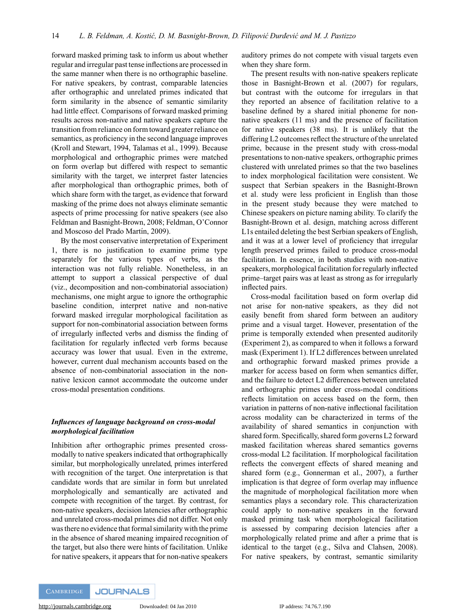forward masked priming task to inform us about whether regular and irregular past tense inflections are processed in the same manner when there is no orthographic baseline. For native speakers, by contrast, comparable latencies after orthographic and unrelated primes indicated that form similarity in the absence of semantic similarity had little effect. Comparisons of forward masked priming results across non-native and native speakers capture the transition from reliance on form toward greater reliance on semantics, as proficiency in the second language improves (Kroll and Stewart, 1994, Talamas et al., 1999). Because morphological and orthographic primes were matched on form overlap but differed with respect to semantic similarity with the target, we interpret faster latencies after morphological than orthographic primes, both of which share form with the target, as evidence that forward masking of the prime does not always eliminate semantic aspects of prime processing for native speakers (see also Feldman and Basnight-Brown, 2008; Feldman, O'Connor and Moscoso del Prado Martín, 2009).

By the most conservative interpretation of Experiment 1, there is no justification to examine prime type separately for the various types of verbs, as the interaction was not fully reliable. Nonetheless, in an attempt to support a classical perspective of dual (viz., decomposition and non-combinatorial association) mechanisms, one might argue to ignore the orthographic baseline condition, interpret native and non-native forward masked irregular morphological facilitation as support for non-combinatorial association between forms of irregularly inflected verbs and dismiss the finding of facilitation for regularly inflected verb forms because accuracy was lower that usual. Even in the extreme, however, current dual mechanism accounts based on the absence of non-combinatorial association in the nonnative lexicon cannot accommodate the outcome under cross-modal presentation conditions.

# *Influences of language background on cross-modal morphological facilitation*

Inhibition after orthographic primes presented crossmodally to native speakers indicated that orthographically similar, but morphologically unrelated, primes interfered with recognition of the target. One interpretation is that candidate words that are similar in form but unrelated morphologically and semantically are activated and compete with recognition of the target. By contrast, for non-native speakers, decision latencies after orthographic and unrelated cross-modal primes did not differ. Not only was there no evidence that formal similarity with the prime in the absence of shared meaning impaired recognition of the target, but also there were hints of facilitation. Unlike for native speakers, it appears that for non-native speakers

auditory primes do not compete with visual targets even when they share form.

The present results with non-native speakers replicate those in Basnight-Brown et al. (2007) for regulars, but contrast with the outcome for irregulars in that they reported an absence of facilitation relative to a baseline defined by a shared initial phoneme for nonnative speakers (11 ms) and the presence of facilitation for native speakers (38 ms). It is unlikely that the differing L2 outcomes reflect the structure of the unrelated prime, because in the present study with cross-modal presentations to non-native speakers, orthographic primes clustered with unrelated primes so that the two baselines to index morphological facilitation were consistent. We suspect that Serbian speakers in the Basnight-Brown et al. study were less proficient in English than those in the present study because they were matched to Chinese speakers on picture naming ability. To clarify the Basnight-Brown et al. design, matching across different L1s entailed deleting the best Serbian speakers of English, and it was at a lower level of proficiency that irregular length preserved primes failed to produce cross-modal facilitation. In essence, in both studies with non-native speakers, morphological facilitation for regularly inflected prime–target pairs was at least as strong as for irregularly inflected pairs.

Cross-modal facilitation based on form overlap did not arise for non-native speakers, as they did not easily benefit from shared form between an auditory prime and a visual target. However, presentation of the prime is temporally extended when presented auditorily (Experiment 2), as compared to when it follows a forward mask (Experiment 1). If L2 differences between unrelated and orthographic forward masked primes provide a marker for access based on form when semantics differ, and the failure to detect L2 differences between unrelated and orthographic primes under cross-modal conditions reflects limitation on access based on the form, then variation in patterns of non-native inflectional facilitation across modality can be characterized in terms of the availability of shared semantics in conjunction with shared form. Specifically, shared form governs L2 forward masked facilitation whereas shared semantics governs cross-modal L2 facilitation. If morphological facilitation reflects the convergent effects of shared meaning and shared form (e.g., Gonnerman et al., 2007), a further implication is that degree of form overlap may influence the magnitude of morphological facilitation more when semantics plays a secondary role. This characterization could apply to non-native speakers in the forward masked priming task when morphological facilitation is assessed by comparing decision latencies after a morphologically related prime and after a prime that is identical to the target (e.g., Silva and Clahsen, 2008). For native speakers, by contrast, semantic similarity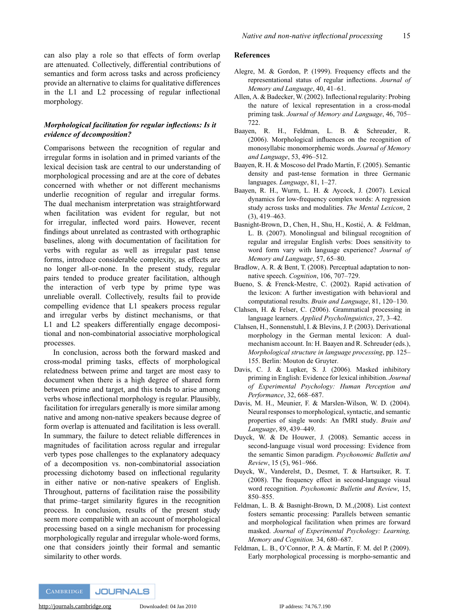can also play a role so that effects of form overlap are attenuated. Collectively, differential contributions of semantics and form across tasks and across proficiency provide an alternative to claims for qualitative differences in the L1 and L2 processing of regular inflectional morphology.

# *Morphological facilitation for regular inflections: Is it evidence of decomposition?*

Comparisons between the recognition of regular and irregular forms in isolation and in primed variants of the lexical decision task are central to our understanding of morphological processing and are at the core of debates concerned with whether or not different mechanisms underlie recognition of regular and irregular forms. The dual mechanism interpretation was straightforward when facilitation was evident for regular, but not for irregular, inflected word pairs. However, recent findings about unrelated as contrasted with orthographic baselines, along with documentation of facilitation for verbs with regular as well as irregular past tense forms, introduce considerable complexity, as effects are no longer all-or-none. In the present study, regular pairs tended to produce greater facilitation, although the interaction of verb type by prime type was unreliable overall. Collectively, results fail to provide compelling evidence that L1 speakers process regular and irregular verbs by distinct mechanisms, or that L1 and L2 speakers differentially engage decompositional and non-combinatorial associative morphological processes.

In conclusion, across both the forward masked and cross-modal priming tasks, effects of morphological relatedness between prime and target are most easy to document when there is a high degree of shared form between prime and target, and this tends to arise among verbs whose inflectional morphology is regular. Plausibly, facilitation for irregulars generally is more similar among native and among non-native speakers because degree of form overlap is attenuated and facilitation is less overall. In summary, the failure to detect reliable differences in magnitudes of facilitation across regular and irregular verb types pose challenges to the explanatory adequacy of a decomposition vs. non-combinatorial association processing dichotomy based on inflectional regularity in either native or non-native speakers of English. Throughout, patterns of facilitation raise the possibility that prime–target similarity figures in the recognition process. In conclusion, results of the present study seem more compatible with an account of morphological processing based on a single mechanism for processing morphologically regular and irregular whole-word forms, one that considers jointly their formal and semantic similarity to other words.

#### **References**

- Alegre, M. & Gordon, P. (1999). Frequency effects and the representational status of regular inflections. *Journal of Memory and Language*, 40, 41–61.
- Allen, A. & Badecker, W. (2002). Inflectional regularity: Probing the nature of lexical representation in a cross-modal priming task. *Journal of Memory and Language*, 46, 705– 722.
- Baayen, R. H., Feldman, L. B. & Schreuder, R. (2006). Morphological influences on the recognition of monosyllabic monomorphemic words. *Journal of Memory and Language*, 53, 496–512.
- Baayen, R. H. & Moscoso del Prado Martín, F. (2005). Semantic density and past-tense formation in three Germanic languages. *Language*, 81, 1–27.
- Baayen, R. H., Wurm, L. H. & Aycock, J. (2007). Lexical dynamics for low-frequency complex words: A regression study across tasks and modalities. *The Mental Lexicon*, 2 (3), 419–463.
- Basnight-Brown, D., Chen, H., Shu, H., Kostić, A. & Feldman, L. B. (2007). Monolingual and bilingual recognition of regular and irregular English verbs: Does sensitivity to word form vary with language experience? *Journal of Memory and Language*, 57, 65–80.
- Bradlow, A. R. & Bent, T. (2008). Perceptual adaptation to nonnative speech. *Cognition*, 106, 707–729.
- Bueno, S. & Frenck-Mestre, C. (2002). Rapid activation of the lexicon: A further investigation with behavioral and computational results. *Brain and Language*, 81, 120–130.
- Clahsen, H. & Felser, C. (2006). Grammatical processing in language learners. *Applied Psycholinguistics*, 27, 3–42.
- Clahsen, H., Sonnenstuhl, I. & Blevins, J. P. (2003). Derivational morphology in the German mental lexicon: A dualmechanism account. In: H. Baayen and R. Schreuder (eds.), *Morphological structure in language processing*, pp. 125– 155. Berlin: Mouton de Gruyter.
- Davis, C. J. & Lupker, S. J. (2006). Masked inhibitory priming in English: Evidence for lexical inhibition. *Journal of Experimental Psychology: Human Perception and Performance*, 32, 668–687.
- Davis, M. H., Meunier, F. & Marslen-Wilson, W. D. (2004). Neural responses to morphological, syntactic, and semantic properties of single words: An fMRI study. *Brain and Language*, 89, 439–449.
- Duyck, W. & De Houwer, J. (2008). Semantic access in second-language visual word processing: Evidence from the semantic Simon paradigm. *Psychonomic Bulletin and Review*, 15 (5), 961–966.
- Duyck, W., Vanderelst, D., Desmet, T. & Hartsuiker, R. T. (2008). The frequency effect in second-language visual word recognition. *Psychonomic Bulletin and Review*, 15, 850–855.
- Feldman, L. B. & Basnight-Brown, D. M.,(2008). List context fosters semantic processing: Parallels between semantic and morphological facilitation when primes are forward masked. *Journal of Experimental Psychology: Learning, Memory and Cognition.* 34, 680–687.
- Feldman, L. B., O'Connor, P. A. & Martín, F. M. del P. (2009). Early morphological processing is morpho-semantic and

**CAMBRIDGE JOURNALS**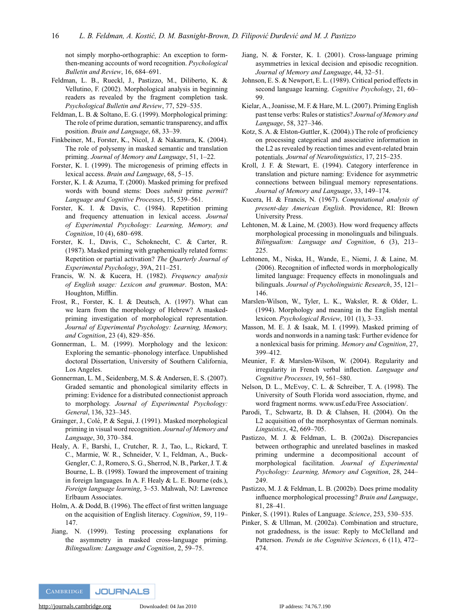not simply morpho-orthographic: An exception to formthen-meaning accounts of word recognition. *Psychological Bulletin and Review*, 16, 684–691.

- Feldman, L. B., Rueckl, J., Pastizzo, M., Diliberto, K. & Vellutino, F. (2002). Morphological analysis in beginning readers as revealed by the fragment completion task. *Psychological Bulletin and Review*, 77, 529–535.
- Feldman, L. B. & Soltano, E. G. (1999). Morphological priming: The role of prime duration, semantic transparency, and affix position. *Brain and Language*, 68, 33–39.
- Finkbeiner, M., Forster, K., Nicol, J. & Nakamura, K. (2004). The role of polysemy in masked semantic and translation priming. *Journal of Memory and Language*, 51, 1–22.
- Forster, K. I. (1999). The microgenesis of priming effects in lexical access. *Brain and Language*, 68, 5–15.
- Forster, K. I. & Azuma, T. (2000). Masked priming for prefixed words with bound stems: Does *submit* prime *permit*? *Language and Cognitive Processes*, 15, 539–561.
- Forster, K. I. & Davis, C. (1984). Repetition priming and frequency attenuation in lexical access. *Journal of Experimental Psychology: Learning, Memory, and Cognition*, 10 (4), 680–698.
- Forster, K. I., Davis, C., Schoknecht, C. & Carter, R. (1987). Masked priming with graphemically related forms: Repetition or partial activation? *The Quarterly Journal of Experimental Psychology*, 39A, 211–251.
- Francis, W. N. & Kucera, H. (1982). *Frequency analysis of English usage: Lexicon and grammar*. Boston, MA: Houghton, Mifflin.
- Frost, R., Forster, K. I. & Deutsch, A. (1997). What can we learn from the morphology of Hebrew? A maskedpriming investigation of morphological representation. *Journal of Experimental Psychology: Learning, Memory, and Cognition*, 23 (4), 829–856.
- Gonnerman, L. M. (1999). Morphology and the lexicon: Exploring the semantic–phonology interface. Unpublished doctoral Dissertation, University of Southern California, Los Angeles.
- Gonnerman, L. M., Seidenberg, M. S. & Andersen, E. S. (2007). Graded semantic and phonological similarity effects in priming: Evidence for a distributed connectionist approach to morphology. *Journal of Experimental Psychology: General*, 136, 323–345.
- Grainger, J., Colé, P. & Segui, J. (1991). Masked morphological priming in visual word recognition. *Journal of Memory and Language*, 30, 370–384.
- Healy, A. F., Barshi, I., Crutcher, R. J., Tao, L., Rickard, T. C., Marmie, W. R., Schneider, V. I., Feldman, A., Buck-Gengler, C. J., Romero, S. G., Sherrod, N. B., Parker, J. T. & Bourne, L. B. (1998). Toward the improvement of training in foreign languages. In A. F. Healy & L. E. Bourne (eds.), *Foreign language learning*, 3–53. Mahwah, NJ: Lawrence Erlbaum Associates.
- Holm, A. & Dodd, B. (1996). The effect of first written language on the acquisition of English literacy. *Cognition*, 59, 119– 147.
- Jiang, N. (1999). Testing processing explanations for the asymmetry in masked cross-language priming. *Bilingualism: Language and Cognition*, 2, 59–75.
- Jiang, N. & Forster, K. I. (2001). Cross-language priming asymmetries in lexical decision and episodic recognition. *Journal of Memory and Language*, 44, 32–51.
- Johnson, E. S. & Newport, E. L. (1989). Critical period effects in second language learning. *Cognitive Psychology*, 21, 60– 99.
- Kielar, A., Joanisse, M. F. & Hare, M. L. (2007). Priming English past tense verbs: Rules or statistics? *Journal of Memory and Language*, 58, 327–346.
- Kotz, S. A. & Elston-Guttler, K. (2004).) The role of proficiency on processing categorical and associative information in the L2 as revealed by reaction times and event-related brain potentials. *Journal of Neurolinguistics*, 17, 215–235.
- Kroll, J. F. & Stewart, E. (1994). Category interference in translation and picture naming: Evidence for asymmetric connections between bilingual memory representations. *Journal of Memory and Language*, 33, 149–174.
- Kucera, H. & Francis, N. (1967). *Computational analysis of present-day American English*. Providence, RI: Brown University Press.
- Lehtonen, M. & Laine, M. (2003). How word frequency affects morphological processing in monolinguals and bilinguals. *Bilingualism: Language and Cognition*, 6 (3), 213– 225.
- Lehtonen, M., Niska, H., Wande, E., Niemi, J. & Laine, M. (2006). Recognition of inflected words in morphologically limited language: Frequency effects in monolinguals and bilinguals. *Journal of Psycholinguistic Research*, 35, 121– 146.
- Marslen-Wilson, W., Tyler, L. K., Waksler, R. & Older, L. (1994). Morphology and meaning in the English mental lexicon. *Psychological Review*, 101 (1), 3–33.
- Masson, M. E. J. & Isaak, M. I. (1999). Masked priming of words and nonwords in a naming task: Further evidence for a nonlexical basis for priming. *Memory and Cognition*, 27, 399–412.
- Meunier, F. & Marslen-Wilson, W. (2004). Regularity and irregularity in French verbal inflection. *Language and Cognitive Processes*, 19, 561–580.
- Nelson, D. L., McEvoy, C. L. & Schreiber, T. A. (1998). The University of South Florida word association, rhyme, and word fragment norms. www.usf.edu/Free Association/.
- Parodi, T., Schwartz, B. D. & Clahsen, H. (2004). On the L2 acquisition of the morphosyntax of German nominals. *Linguistics*, 42, 669–705.
- Pastizzo, M. J. & Feldman, L. B. (2002a). Discrepancies between orthographic and unrelated baselines in masked priming undermine a decompositional account of morphological facilitation. *Journal of Experimental Psychology: Learning, Memory and Cognition*, 28, 244– 249.
- Pastizzo, M. J. & Feldman, L. B. (2002b). Does prime modality influence morphological processing? *Brain and Language*, 81, 28–41.
- Pinker, S. (1991). Rules of Language. *Science*, 253, 530–535.
- Pinker, S. & Ullman, M. (2002a). Combination and structure, not gradedness, is the issue: Reply to McClelland and Patterson. *Trends in the Cognitive Sciences*, 6 (11), 472– 474.